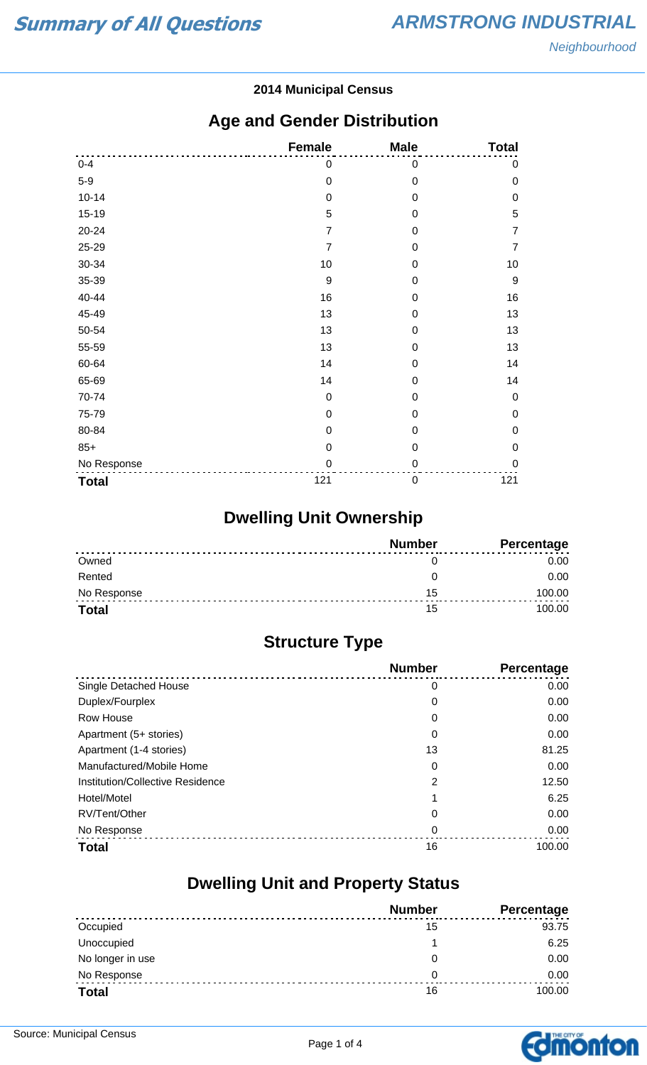#### **2014 Municipal Census**

### **Age and Gender Distribution**

|              | <b>Female</b>    | <b>Male</b>      | <b>Total</b>     |
|--------------|------------------|------------------|------------------|
| $0 - 4$      | 0                | 0                | 0                |
| $5-9$        | $\mathbf 0$      | $\mathbf 0$      | $\mathbf 0$      |
| $10 - 14$    | $\mathbf 0$      | $\mathbf 0$      | $\mathbf 0$      |
| 15-19        | 5                | $\mathbf 0$      | $\sqrt{5}$       |
| 20-24        | $\overline{7}$   | $\boldsymbol{0}$ | $\overline{7}$   |
| 25-29        | $\overline{7}$   | $\mathbf 0$      | $\overline{7}$   |
| 30-34        | 10               | 0                | 10               |
| 35-39        | $\boldsymbol{9}$ | $\boldsymbol{0}$ | $\boldsymbol{9}$ |
| 40-44        | 16               | $\mathbf 0$      | 16               |
| 45-49        | 13               | $\boldsymbol{0}$ | 13               |
| 50-54        | 13               | $\mathbf 0$      | 13               |
| 55-59        | 13               | $\mathbf 0$      | 13               |
| 60-64        | 14               | 0                | 14               |
| 65-69        | 14               | $\boldsymbol{0}$ | 14               |
| 70-74        | $\boldsymbol{0}$ | $\boldsymbol{0}$ | $\mathbf 0$      |
| 75-79        | $\mathbf 0$      | $\mathbf 0$      | $\mathbf 0$      |
| 80-84        | $\mathbf 0$      | $\mathbf 0$      | $\mathbf 0$      |
| $85+$        | $\boldsymbol{0}$ | $\overline{0}$   | $\mathbf 0$      |
| No Response  | $\mathbf 0$      | $\mathbf 0$      | $\mathbf 0$      |
| <b>Total</b> | 121              | $\boldsymbol{0}$ | 121              |

## **Dwelling Unit Ownership**

|              | <b>Number</b> | <b>Percentage</b> |
|--------------|---------------|-------------------|
| Owned        |               | 0.00              |
| Rented       |               | 0.00              |
| No Response  | 15            | 100.00            |
| <b>Total</b> | 15            | 100.00            |

## **Structure Type**

|                                  | <b>Number</b> | <b>Percentage</b> |
|----------------------------------|---------------|-------------------|
| Single Detached House            | 0             | 0.00              |
| Duplex/Fourplex                  | 0             | 0.00              |
| Row House                        | 0             | 0.00              |
| Apartment (5+ stories)           | 0             | 0.00              |
| Apartment (1-4 stories)          | 13            | 81.25             |
| Manufactured/Mobile Home         | 0             | 0.00              |
| Institution/Collective Residence | 2             | 12.50             |
| Hotel/Motel                      |               | 6.25              |
| RV/Tent/Other                    | 0             | 0.00              |
| No Response                      | 0             | 0.00              |
| <b>Total</b>                     | 16            | 100.00            |

### **Dwelling Unit and Property Status**

|                  | <b>Number</b> | <b>Percentage</b> |
|------------------|---------------|-------------------|
| Occupied         | 15            | 93.75             |
| Unoccupied       |               | 6.25              |
| No longer in use | 0             | 0.00              |
| No Response      | 0             | 0.00              |
| <b>Total</b>     | 16            | 100.00            |

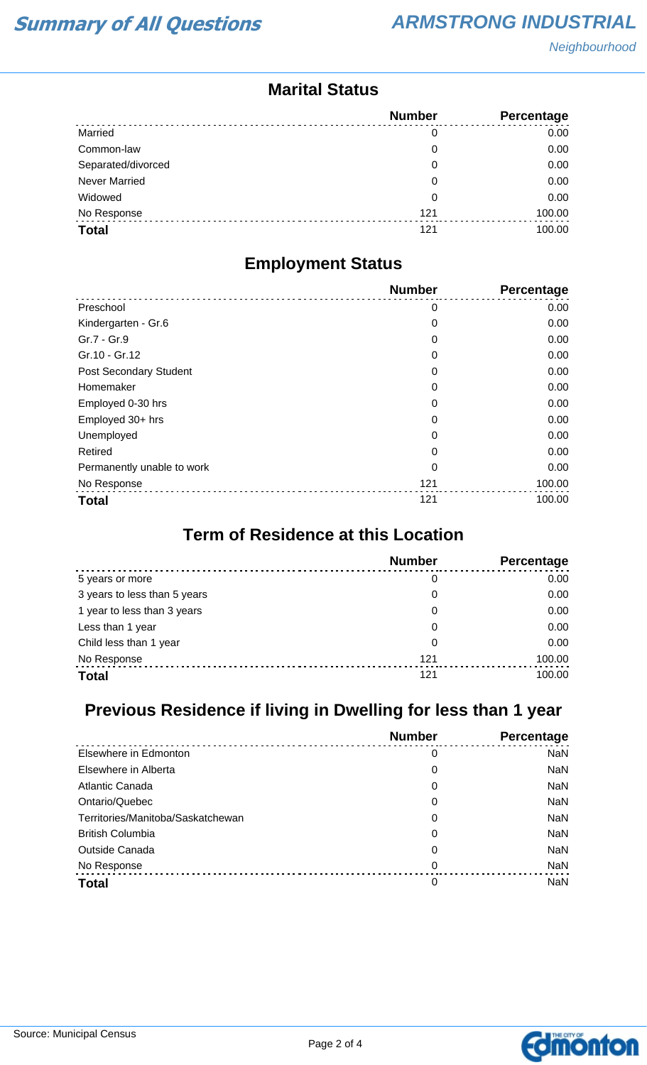### **Marital Status**

|                      | <b>Number</b> | Percentage |
|----------------------|---------------|------------|
| Married              | 0             | 0.00       |
| Common-law           | 0             | 0.00       |
| Separated/divorced   | 0             | 0.00       |
| <b>Never Married</b> | 0             | 0.00       |
| Widowed              | 0             | 0.00       |
| No Response          | 121           | 100.00     |
| <b>Total</b>         | 121           | 100.00     |

### **Employment Status**

|                               | <b>Number</b> | Percentage |
|-------------------------------|---------------|------------|
| Preschool                     | 0             | 0.00       |
| Kindergarten - Gr.6           | 0             | 0.00       |
| Gr.7 - Gr.9                   | 0             | 0.00       |
| Gr.10 - Gr.12                 | 0             | 0.00       |
| <b>Post Secondary Student</b> | 0             | 0.00       |
| Homemaker                     | 0             | 0.00       |
| Employed 0-30 hrs             | 0             | 0.00       |
| Employed 30+ hrs              | 0             | 0.00       |
| Unemployed                    | 0             | 0.00       |
| Retired                       | 0             | 0.00       |
| Permanently unable to work    | 0             | 0.00       |
| No Response                   | 121           | 100.00     |
| <b>Total</b>                  | 121           | 100.00     |

#### **Term of Residence at this Location**

|                              | <b>Number</b> | Percentage |
|------------------------------|---------------|------------|
| 5 years or more              | 0             | 0.00       |
| 3 years to less than 5 years | 0             | 0.00       |
| 1 year to less than 3 years  | 0             | 0.00       |
| Less than 1 year             | 0             | 0.00       |
| Child less than 1 year       | 0             | 0.00       |
| No Response                  | 121           | 100.00     |
| <b>Total</b>                 | 121           | 100.00     |

## **Previous Residence if living in Dwelling for less than 1 year**

|                                   | <b>Number</b> | Percentage |
|-----------------------------------|---------------|------------|
| Elsewhere in Edmonton             | 0             | <b>NaN</b> |
| Elsewhere in Alberta              | 0             | <b>NaN</b> |
| Atlantic Canada                   | 0             | <b>NaN</b> |
| Ontario/Quebec                    | 0             | <b>NaN</b> |
| Territories/Manitoba/Saskatchewan | 0             | <b>NaN</b> |
| <b>British Columbia</b>           | 0             | <b>NaN</b> |
| <b>Outside Canada</b>             | 0             | <b>NaN</b> |
| No Response                       | $\Omega$      | <b>NaN</b> |
| <b>Total</b>                      | 0             | <b>NaN</b> |

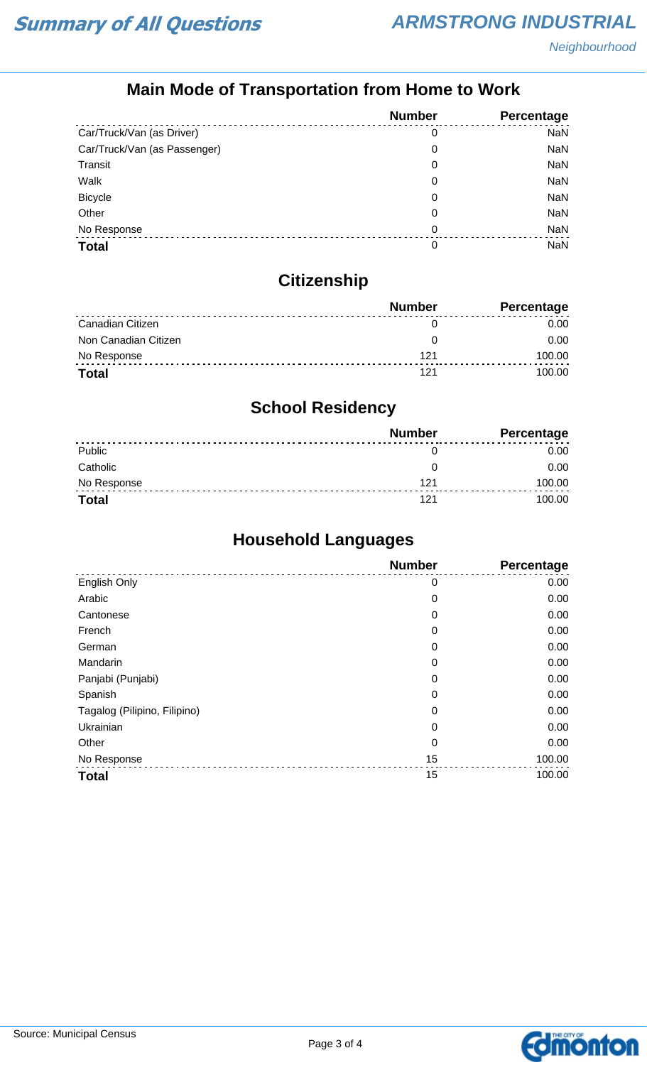## **Main Mode of Transportation from Home to Work**

|                              | <b>Number</b> | Percentage |
|------------------------------|---------------|------------|
| Car/Truck/Van (as Driver)    | 0             | <b>NaN</b> |
| Car/Truck/Van (as Passenger) | 0             | NaN        |
| Transit                      | 0             | NaN        |
| Walk                         | 0             | NaN        |
| <b>Bicycle</b>               | 0             | NaN        |
| Other                        | 0             | NaN        |
| No Response                  | 0             | NaN        |
| <b>Total</b>                 | 0             | <b>NaN</b> |

## **Citizenship**

|                      | <b>Number</b> | <b>Percentage</b> |
|----------------------|---------------|-------------------|
| Canadian Citizen     |               | 0.00              |
| Non Canadian Citizen |               | 0.00              |
| No Response          | 121           | 100.00            |
| <b>Total</b>         |               | 100.00            |

# **School Residency**

|              | <b>Number</b> | <b>Percentage</b> |
|--------------|---------------|-------------------|
| Public       |               | 0.00              |
| Catholic     | O             | 0.00              |
| No Response  | 121           | 100.00            |
| <b>Total</b> | 121           | 100.00            |

## **Household Languages**

|                              | <b>Number</b> | Percentage |
|------------------------------|---------------|------------|
| English Only                 | 0             | 0.00       |
| Arabic                       | $\mathbf 0$   | 0.00       |
| Cantonese                    | $\mathbf 0$   | 0.00       |
| French                       | 0             | 0.00       |
| German                       | 0             | 0.00       |
| Mandarin                     | $\mathbf 0$   | 0.00       |
| Panjabi (Punjabi)            | $\mathbf 0$   | 0.00       |
| Spanish                      | $\mathbf 0$   | 0.00       |
| Tagalog (Pilipino, Filipino) | $\mathbf 0$   | 0.00       |
| Ukrainian                    | 0             | 0.00       |
| Other                        | 0             | 0.00       |
| No Response                  | 15            | 100.00     |
| <b>Total</b>                 | 15            | 100.00     |